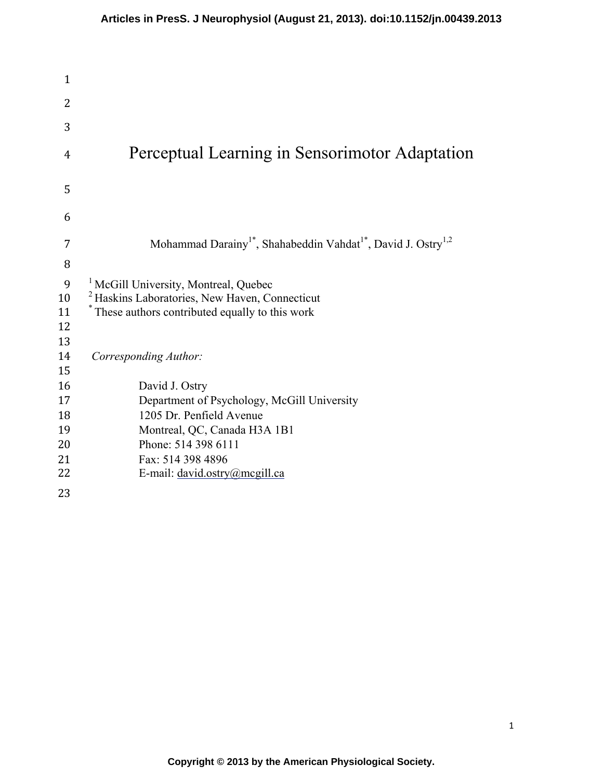| $\mathbf{1}$                                 |                                                                                                                                                                                                        |
|----------------------------------------------|--------------------------------------------------------------------------------------------------------------------------------------------------------------------------------------------------------|
| $\overline{2}$                               |                                                                                                                                                                                                        |
| 3                                            |                                                                                                                                                                                                        |
| 4                                            | Perceptual Learning in Sensorimotor Adaptation                                                                                                                                                         |
| 5                                            |                                                                                                                                                                                                        |
| 6                                            |                                                                                                                                                                                                        |
| 7                                            | Mohammad Darainy <sup>1*</sup> , Shahabeddin Vahdat <sup>1*</sup> , David J. Ostry <sup>1,2</sup>                                                                                                      |
| 8                                            |                                                                                                                                                                                                        |
| 9<br>10<br>11<br>12<br>13                    | <sup>1</sup> McGill University, Montreal, Quebec<br><sup>2</sup> Haskins Laboratories, New Haven, Connecticut<br>* These authors contributed equally to this work                                      |
| 14                                           | Corresponding Author:                                                                                                                                                                                  |
| 15<br>16<br>17<br>18<br>19<br>20<br>21<br>22 | David J. Ostry<br>Department of Psychology, McGill University<br>1205 Dr. Penfield Avenue<br>Montreal, QC, Canada H3A 1B1<br>Phone: 514 398 6111<br>Fax: 514 398 4896<br>E-mail: david.ostry@mcgill.ca |
| 23                                           |                                                                                                                                                                                                        |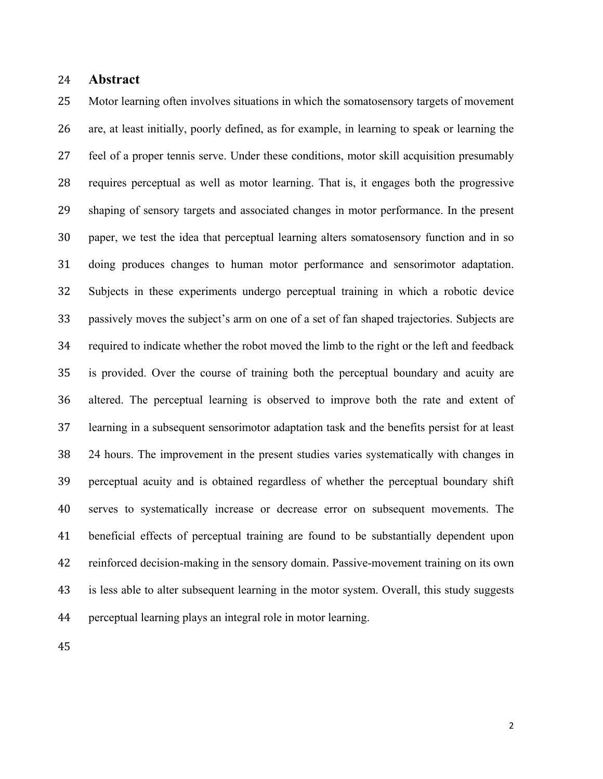## **Abstract**

Motor learning often involves situations in which the somatosensory targets of movement are, at least initially, poorly defined, as for example, in learning to speak or learning the feel of a proper tennis serve. Under these conditions, motor skill acquisition presumably requires perceptual as well as motor learning. That is, it engages both the progressive shaping of sensory targets and associated changes in motor performance. In the present paper, we test the idea that perceptual learning alters somatosensory function and in so doing produces changes to human motor performance and sensorimotor adaptation. Subjects in these experiments undergo perceptual training in which a robotic device passively moves the subject's arm on one of a set of fan shaped trajectories. Subjects are required to indicate whether the robot moved the limb to the right or the left and feedback is provided. Over the course of training both the perceptual boundary and acuity are altered. The perceptual learning is observed to improve both the rate and extent of learning in a subsequent sensorimotor adaptation task and the benefits persist for at least 24 hours. The improvement in the present studies varies systematically with changes in perceptual acuity and is obtained regardless of whether the perceptual boundary shift serves to systematically increase or decrease error on subsequent movements. The beneficial effects of perceptual training are found to be substantially dependent upon reinforced decision-making in the sensory domain. Passive-movement training on its own is less able to alter subsequent learning in the motor system. Overall, this study suggests perceptual learning plays an integral role in motor learning.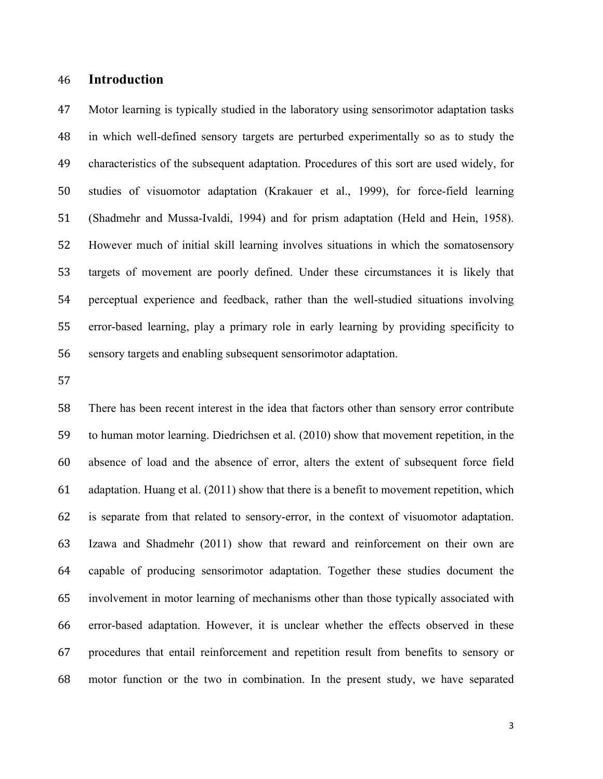# **Introduction**

Motor learning is typically studied in the laboratory using sensorimotor adaptation tasks in which well-defined sensory targets are perturbed experimentally so as to study the characteristics of the subsequent adaptation. Procedures of this sort are used widely, for studies of visuomotor adaptation (Krakauer et al., 1999), for force-field learning (Shadmehr and Mussa-Ivaldi, 1994) and for prism adaptation (Held and Hein, 1958). However much of initial skill learning involves situations in which the somatosensory targets of movement are poorly defined. Under these circumstances it is likely that perceptual experience and feedback, rather than the well-studied situations involving error-based learning, play a primary role in early learning by providing specificity to sensory targets and enabling subsequent sensorimotor adaptation.

There has been recent interest in the idea that factors other than sensory error contribute to human motor learning. Diedrichsen et al. (2010) show that movement repetition, in the absence of load and the absence of error, alters the extent of subsequent force field adaptation. Huang et al. (2011) show that there is a benefit to movement repetition, which is separate from that related to sensory-error, in the context of visuomotor adaptation. Izawa and Shadmehr (2011) show that reward and reinforcement on their own are capable of producing sensorimotor adaptation. Together these studies document the involvement in motor learning of mechanisms other than those typically associated with error-based adaptation. However, it is unclear whether the effects observed in these procedures that entail reinforcement and repetition result from benefits to sensory or motor function or the two in combination. In the present study, we have separated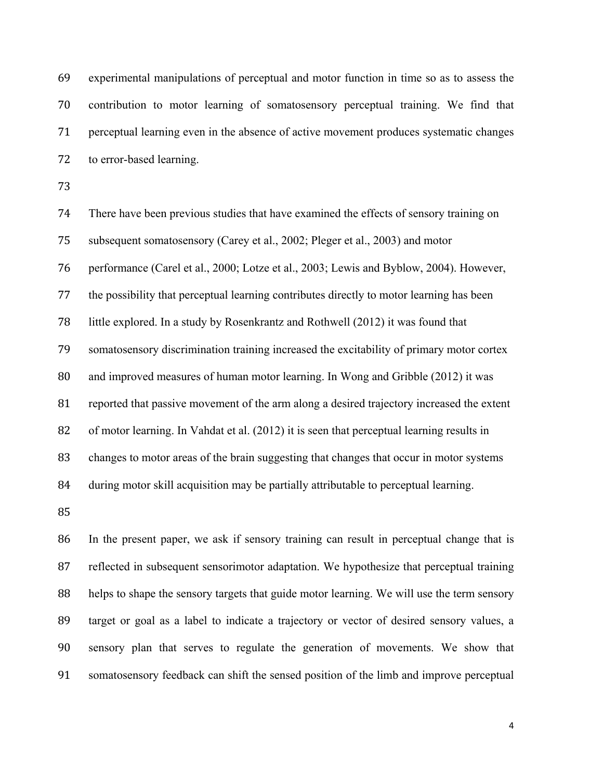experimental manipulations of perceptual and motor function in time so as to assess the contribution to motor learning of somatosensory perceptual training. We find that perceptual learning even in the absence of active movement produces systematic changes to error-based learning.

There have been previous studies that have examined the effects of sensory training on subsequent somatosensory (Carey et al., 2002; Pleger et al., 2003) and motor performance (Carel et al., 2000; Lotze et al., 2003; Lewis and Byblow, 2004). However, the possibility that perceptual learning contributes directly to motor learning has been little explored. In a study by Rosenkrantz and Rothwell (2012) it was found that somatosensory discrimination training increased the excitability of primary motor cortex and improved measures of human motor learning. In Wong and Gribble (2012) it was reported that passive movement of the arm along a desired trajectory increased the extent of motor learning. In Vahdat et al. (2012) it is seen that perceptual learning results in changes to motor areas of the brain suggesting that changes that occur in motor systems during motor skill acquisition may be partially attributable to perceptual learning.

In the present paper, we ask if sensory training can result in perceptual change that is reflected in subsequent sensorimotor adaptation. We hypothesize that perceptual training helps to shape the sensory targets that guide motor learning. We will use the term sensory target or goal as a label to indicate a trajectory or vector of desired sensory values, a sensory plan that serves to regulate the generation of movements. We show that somatosensory feedback can shift the sensed position of the limb and improve perceptual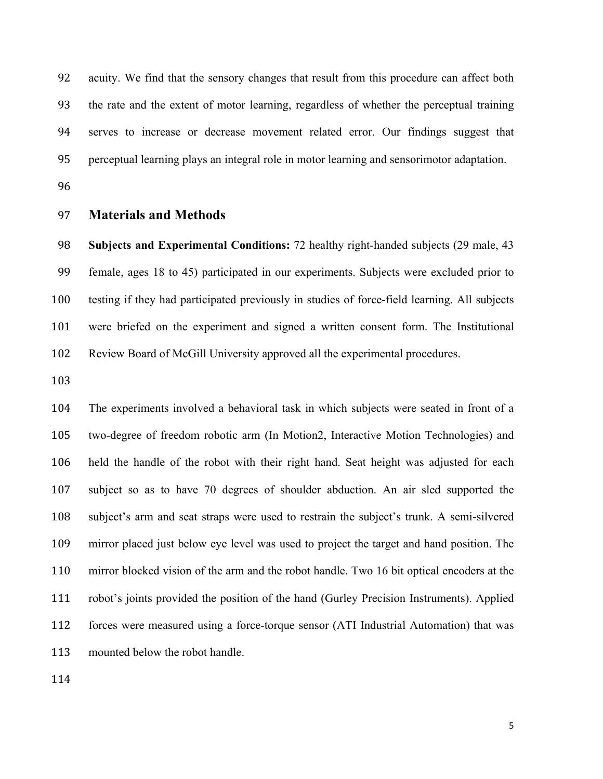acuity. We find that the sensory changes that result from this procedure can affect both the rate and the extent of motor learning, regardless of whether the perceptual training serves to increase or decrease movement related error. Our findings suggest that perceptual learning plays an integral role in motor learning and sensorimotor adaptation.

#### **Materials and Methods**

**Subjects and Experimental Conditions:** 72 healthy right-handed subjects (29 male, 43 female, ages 18 to 45) participated in our experiments. Subjects were excluded prior to testing if they had participated previously in studies of force-field learning. All subjects were briefed on the experiment and signed a written consent form. The Institutional Review Board of McGill University approved all the experimental procedures.

The experiments involved a behavioral task in which subjects were seated in front of a two-degree of freedom robotic arm (In Motion2, Interactive Motion Technologies) and held the handle of the robot with their right hand. Seat height was adjusted for each subject so as to have 70 degrees of shoulder abduction. An air sled supported the subject's arm and seat straps were used to restrain the subject's trunk. A semi-silvered mirror placed just below eye level was used to project the target and hand position. The mirror blocked vision of the arm and the robot handle. Two 16 bit optical encoders at the robot's joints provided the position of the hand (Gurley Precision Instruments). Applied forces were measured using a force-torque sensor (ATI Industrial Automation) that was mounted below the robot handle.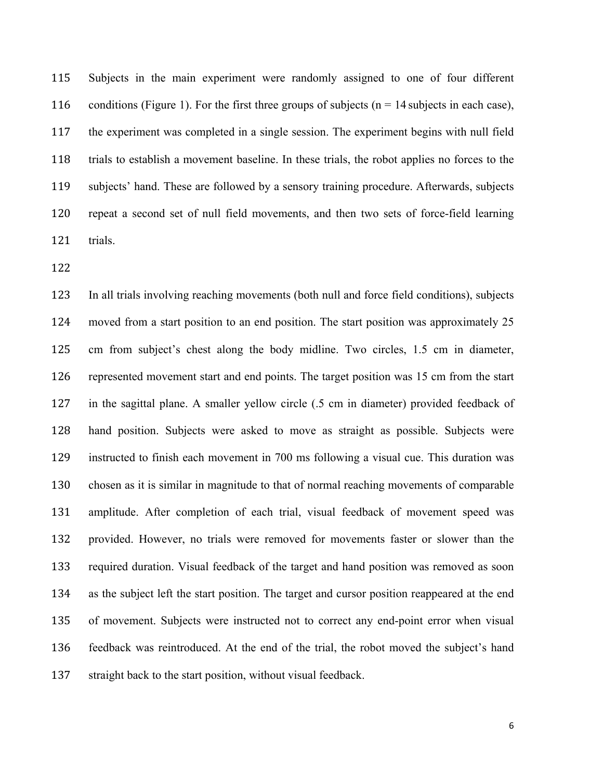Subjects in the main experiment were randomly assigned to one of four different 116 conditions (Figure 1). For the first three groups of subjects ( $n = 14$  subjects in each case), the experiment was completed in a single session. The experiment begins with null field trials to establish a movement baseline. In these trials, the robot applies no forces to the subjects' hand. These are followed by a sensory training procedure. Afterwards, subjects repeat a second set of null field movements, and then two sets of force-field learning trials.

In all trials involving reaching movements (both null and force field conditions), subjects moved from a start position to an end position. The start position was approximately 25 cm from subject's chest along the body midline. Two circles, 1.5 cm in diameter, represented movement start and end points. The target position was 15 cm from the start in the sagittal plane. A smaller yellow circle (.5 cm in diameter) provided feedback of hand position. Subjects were asked to move as straight as possible. Subjects were instructed to finish each movement in 700 ms following a visual cue. This duration was chosen as it is similar in magnitude to that of normal reaching movements of comparable amplitude. After completion of each trial, visual feedback of movement speed was provided. However, no trials were removed for movements faster or slower than the required duration. Visual feedback of the target and hand position was removed as soon as the subject left the start position. The target and cursor position reappeared at the end of movement. Subjects were instructed not to correct any end-point error when visual feedback was reintroduced. At the end of the trial, the robot moved the subject's hand straight back to the start position, without visual feedback.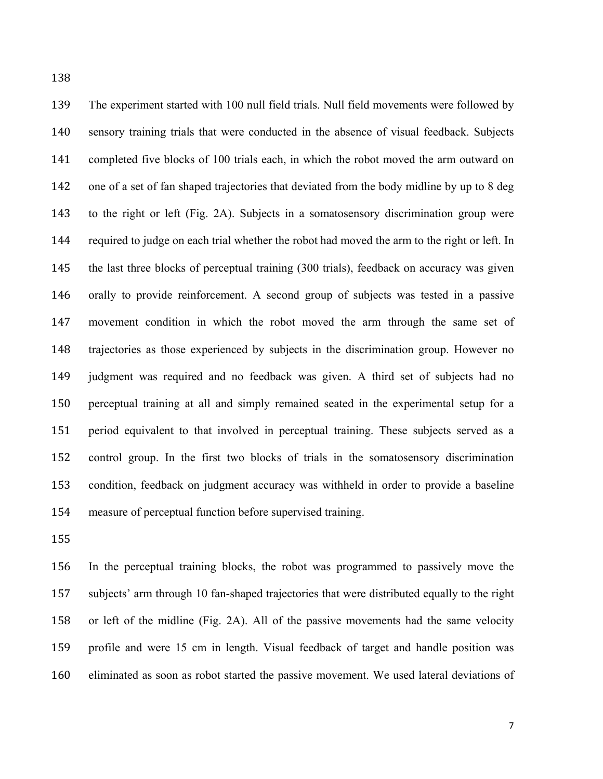The experiment started with 100 null field trials. Null field movements were followed by sensory training trials that were conducted in the absence of visual feedback. Subjects completed five blocks of 100 trials each, in which the robot moved the arm outward on one of a set of fan shaped trajectories that deviated from the body midline by up to 8 deg to the right or left (Fig. 2A). Subjects in a somatosensory discrimination group were required to judge on each trial whether the robot had moved the arm to the right or left. In the last three blocks of perceptual training (300 trials), feedback on accuracy was given orally to provide reinforcement. A second group of subjects was tested in a passive movement condition in which the robot moved the arm through the same set of trajectories as those experienced by subjects in the discrimination group. However no judgment was required and no feedback was given. A third set of subjects had no perceptual training at all and simply remained seated in the experimental setup for a period equivalent to that involved in perceptual training. These subjects served as a control group. In the first two blocks of trials in the somatosensory discrimination condition, feedback on judgment accuracy was withheld in order to provide a baseline measure of perceptual function before supervised training.

In the perceptual training blocks, the robot was programmed to passively move the subjects' arm through 10 fan-shaped trajectories that were distributed equally to the right or left of the midline (Fig. 2A). All of the passive movements had the same velocity profile and were 15 cm in length. Visual feedback of target and handle position was eliminated as soon as robot started the passive movement. We used lateral deviations of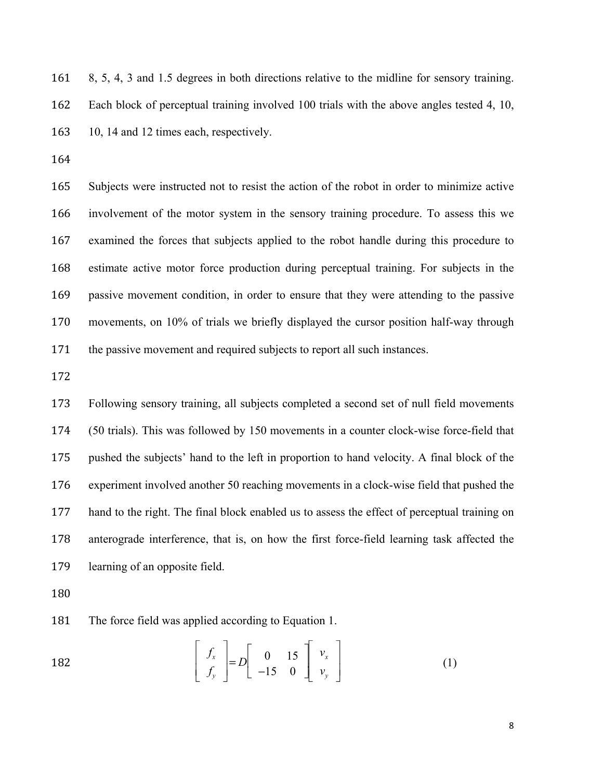161 8, 5, 4, 3 and 1.5 degrees in both directions relative to the midline for sensory training. 162 Each block of perceptual training involved 100 trials with the above angles tested 4, 10, 163 10, 14 and 12 times each, respectively.

164

Subjects were instructed not to resist the action of the robot in order to minimize active involvement of the motor system in the sensory training procedure. To assess this we examined the forces that subjects applied to the robot handle during this procedure to estimate active motor force production during perceptual training. For subjects in the passive movement condition, in order to ensure that they were attending to the passive movements, on 10% of trials we briefly displayed the cursor position half-way through the passive movement and required subjects to report all such instances.

172

Following sensory training, all subjects completed a second set of null field movements (50 trials). This was followed by 150 movements in a counter clock-wise force-field that pushed the subjects' hand to the left in proportion to hand velocity. A final block of the experiment involved another 50 reaching movements in a clock-wise field that pushed the hand to the right. The final block enabled us to assess the effect of perceptual training on anterograde interference, that is, on how the first force-field learning task affected the learning of an opposite field.

180

181 The force field was applied according to Equation 1.

$$
182 \qquad \qquad \begin{bmatrix} f_x \\ f_y \end{bmatrix} = D \begin{bmatrix} 0 & 15 \\ -15 & 0 \end{bmatrix} \begin{bmatrix} v_x \\ v_y \end{bmatrix} \qquad (1)
$$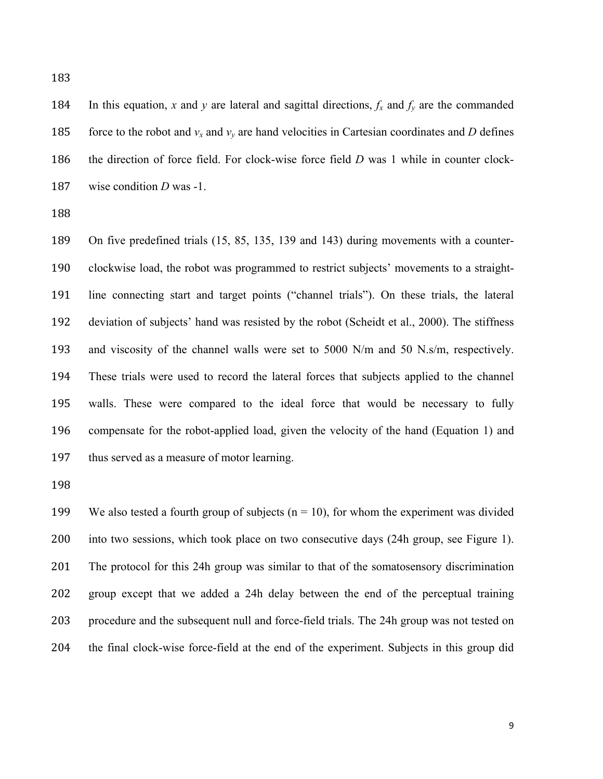184 In this equation, *x* and *y* are lateral and sagittal directions,  $f_x$  and  $f_y$  are the commanded 185 force to the robot and  $v_x$  and  $v_y$  are hand velocities in Cartesian coordinates and *D* defines the direction of force field. For clock-wise force field *D* was 1 while in counter clock-wise condition *D* was -1.

On five predefined trials (15, 85, 135, 139 and 143) during movements with a counter-clockwise load, the robot was programmed to restrict subjects' movements to a straight-line connecting start and target points ("channel trials"). On these trials, the lateral deviation of subjects' hand was resisted by the robot (Scheidt et al., 2000). The stiffness and viscosity of the channel walls were set to 5000 N/m and 50 N.s/m, respectively. These trials were used to record the lateral forces that subjects applied to the channel walls. These were compared to the ideal force that would be necessary to fully compensate for the robot-applied load, given the velocity of the hand (Equation 1) and thus served as a measure of motor learning.

199 We also tested a fourth group of subjects  $(n = 10)$ , for whom the experiment was divided into two sessions, which took place on two consecutive days (24h group, see Figure 1). The protocol for this 24h group was similar to that of the somatosensory discrimination group except that we added a 24h delay between the end of the perceptual training procedure and the subsequent null and force-field trials. The 24h group was not tested on the final clock-wise force-field at the end of the experiment. Subjects in this group did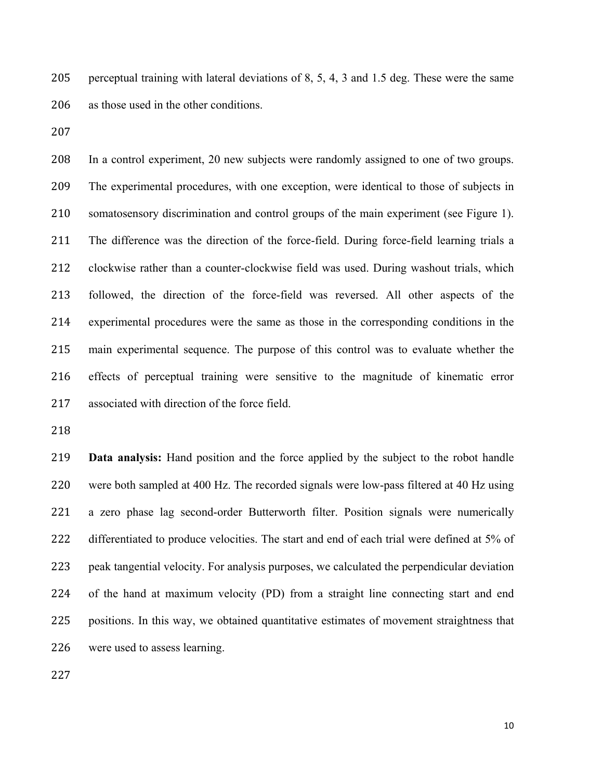perceptual training with lateral deviations of 8, 5, 4, 3 and 1.5 deg. These were the same as those used in the other conditions.

In a control experiment, 20 new subjects were randomly assigned to one of two groups. The experimental procedures, with one exception, were identical to those of subjects in somatosensory discrimination and control groups of the main experiment (see Figure 1). The difference was the direction of the force-field. During force-field learning trials a clockwise rather than a counter-clockwise field was used. During washout trials, which followed, the direction of the force-field was reversed. All other aspects of the experimental procedures were the same as those in the corresponding conditions in the main experimental sequence. The purpose of this control was to evaluate whether the effects of perceptual training were sensitive to the magnitude of kinematic error associated with direction of the force field.

**Data analysis:** Hand position and the force applied by the subject to the robot handle were both sampled at 400 Hz. The recorded signals were low-pass filtered at 40 Hz using a zero phase lag second-order Butterworth filter. Position signals were numerically 222 differentiated to produce velocities. The start and end of each trial were defined at 5% of peak tangential velocity. For analysis purposes, we calculated the perpendicular deviation of the hand at maximum velocity (PD) from a straight line connecting start and end positions. In this way, we obtained quantitative estimates of movement straightness that were used to assess learning.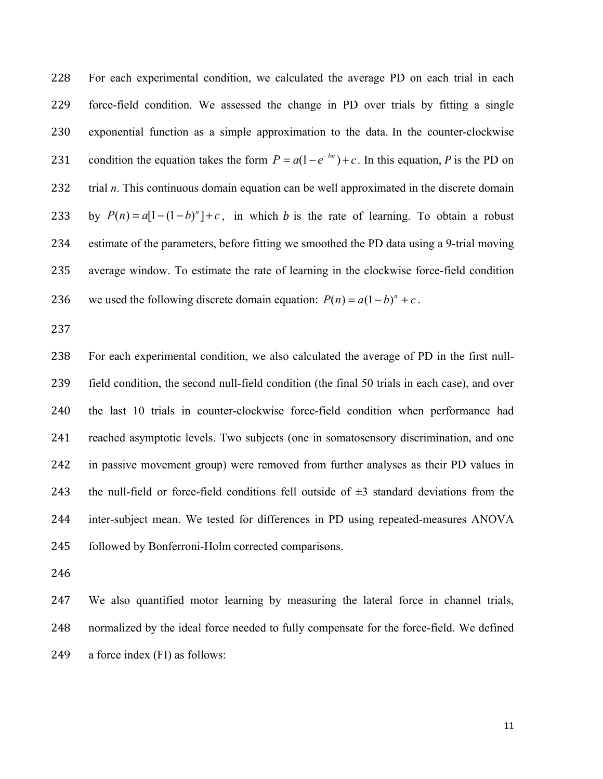For each experimental condition, we calculated the average PD on each trial in each force-field condition. We assessed the change in PD over trials by fitting a single exponential function as a simple approximation to the data. In the counter-clockwise condition the equation takes the form  $P = a(1 - e^{-bn}) + c$ . In this equation, *P* is the PD on 232 trial *n*. This continuous domain equation can be well approximated in the discrete domain 233 by  $P(n) = a[1-(1-b)^n] + c$ , in which *b* is the rate of learning. To obtain a robust estimate of the parameters, before fitting we smoothed the PD data using a 9-trial moving average window. To estimate the rate of learning in the clockwise force-field condition 236 we used the following discrete domain equation:  $P(n) = a(1-b)^n + c$ .

For each experimental condition, we also calculated the average of PD in the first null-field condition, the second null-field condition (the final 50 trials in each case), and over the last 10 trials in counter-clockwise force-field condition when performance had reached asymptotic levels. Two subjects (one in somatosensory discrimination, and one in passive movement group) were removed from further analyses as their PD values in 243 the null-field or force-field conditions fell outside of  $\pm 3$  standard deviations from the inter-subject mean. We tested for differences in PD using repeated-measures ANOVA followed by Bonferroni-Holm corrected comparisons.

We also quantified motor learning by measuring the lateral force in channel trials, normalized by the ideal force needed to fully compensate for the force-field. We defined a force index (FI) as follows: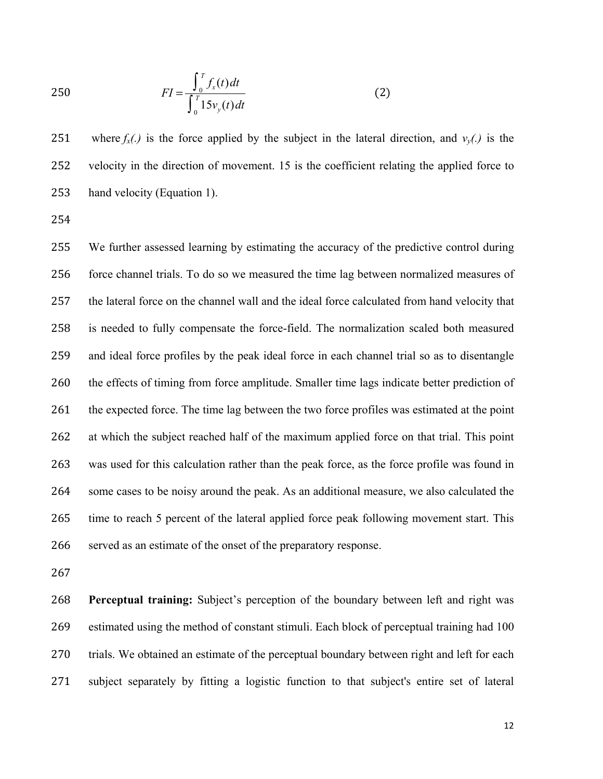250 
$$
FI = \frac{\int_0^T f_x(t)dt}{\int_0^T 15v_y(t)dt}
$$
 (2)

251 where  $f_x()$  is the force applied by the subject in the lateral direction, and  $v_y()$  is the velocity in the direction of movement. 15 is the coefficient relating the applied force to hand velocity (Equation 1).

We further assessed learning by estimating the accuracy of the predictive control during force channel trials. To do so we measured the time lag between normalized measures of the lateral force on the channel wall and the ideal force calculated from hand velocity that is needed to fully compensate the force-field. The normalization scaled both measured and ideal force profiles by the peak ideal force in each channel trial so as to disentangle the effects of timing from force amplitude. Smaller time lags indicate better prediction of 261 the expected force. The time lag between the two force profiles was estimated at the point at which the subject reached half of the maximum applied force on that trial. This point was used for this calculation rather than the peak force, as the force profile was found in some cases to be noisy around the peak. As an additional measure, we also calculated the time to reach 5 percent of the lateral applied force peak following movement start. This served as an estimate of the onset of the preparatory response.

**Perceptual training:** Subject's perception of the boundary between left and right was estimated using the method of constant stimuli. Each block of perceptual training had 100 trials. We obtained an estimate of the perceptual boundary between right and left for each subject separately by fitting a logistic function to that subject's entire set of lateral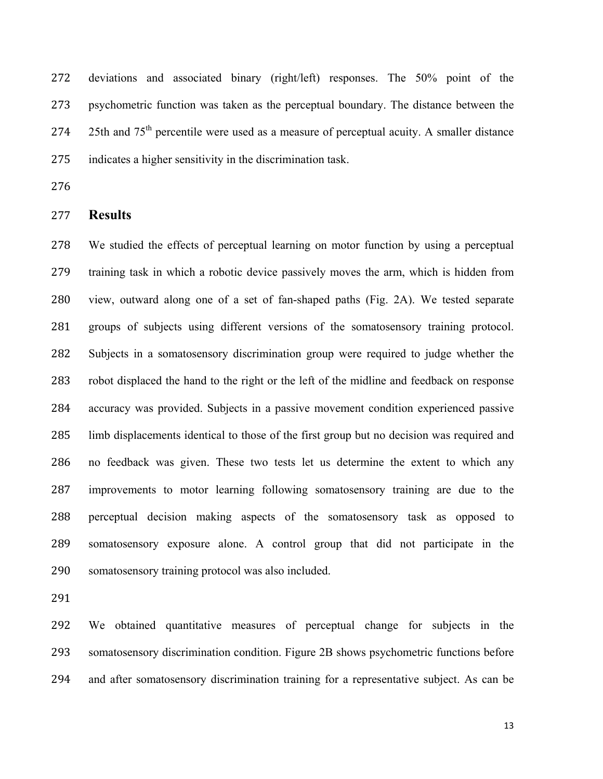deviations and associated binary (right/left) responses. The 50% point of the psychometric function was taken as the perceptual boundary. The distance between the 274 25th and  $75<sup>th</sup>$  percentile were used as a measure of perceptual acuity. A smaller distance indicates a higher sensitivity in the discrimination task.

#### **Results**

We studied the effects of perceptual learning on motor function by using a perceptual training task in which a robotic device passively moves the arm, which is hidden from view, outward along one of a set of fan-shaped paths (Fig. 2A). We tested separate groups of subjects using different versions of the somatosensory training protocol. Subjects in a somatosensory discrimination group were required to judge whether the robot displaced the hand to the right or the left of the midline and feedback on response accuracy was provided. Subjects in a passive movement condition experienced passive limb displacements identical to those of the first group but no decision was required and no feedback was given. These two tests let us determine the extent to which any improvements to motor learning following somatosensory training are due to the perceptual decision making aspects of the somatosensory task as opposed to somatosensory exposure alone. A control group that did not participate in the somatosensory training protocol was also included.

We obtained quantitative measures of perceptual change for subjects in the somatosensory discrimination condition. Figure 2B shows psychometric functions before and after somatosensory discrimination training for a representative subject. As can be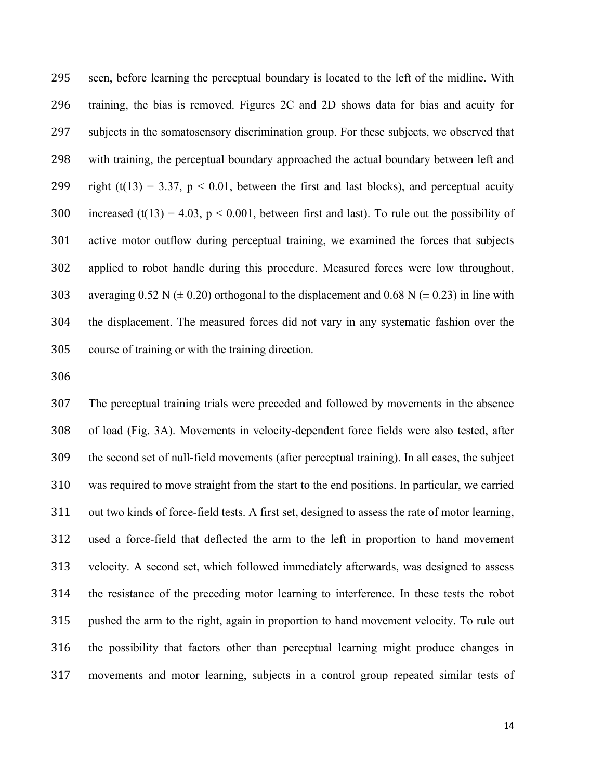seen, before learning the perceptual boundary is located to the left of the midline. With training, the bias is removed. Figures 2C and 2D shows data for bias and acuity for subjects in the somatosensory discrimination group. For these subjects, we observed that with training, the perceptual boundary approached the actual boundary between left and 299 right (t(13) = 3.37,  $p < 0.01$ , between the first and last blocks), and perceptual acuity 300 increased (t(13) = 4.03, p < 0.001, between first and last). To rule out the possibility of active motor outflow during perceptual training, we examined the forces that subjects applied to robot handle during this procedure. Measured forces were low throughout, 303 averaging 0.52 N ( $\pm$  0.20) orthogonal to the displacement and 0.68 N ( $\pm$  0.23) in line with the displacement. The measured forces did not vary in any systematic fashion over the course of training or with the training direction.

The perceptual training trials were preceded and followed by movements in the absence of load (Fig. 3A). Movements in velocity-dependent force fields were also tested, after the second set of null-field movements (after perceptual training). In all cases, the subject was required to move straight from the start to the end positions. In particular, we carried out two kinds of force-field tests. A first set, designed to assess the rate of motor learning, used a force-field that deflected the arm to the left in proportion to hand movement velocity. A second set, which followed immediately afterwards, was designed to assess the resistance of the preceding motor learning to interference. In these tests the robot pushed the arm to the right, again in proportion to hand movement velocity. To rule out the possibility that factors other than perceptual learning might produce changes in movements and motor learning, subjects in a control group repeated similar tests of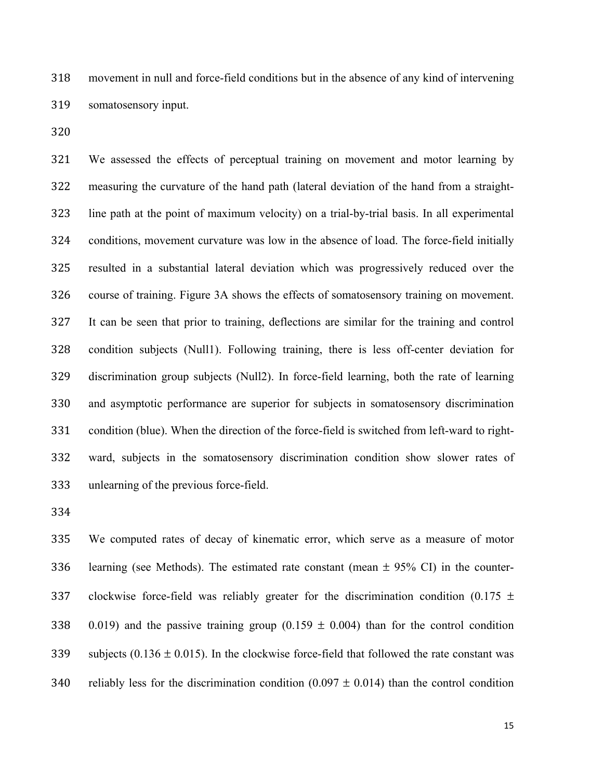movement in null and force-field conditions but in the absence of any kind of intervening somatosensory input.

We assessed the effects of perceptual training on movement and motor learning by measuring the curvature of the hand path (lateral deviation of the hand from a straight-line path at the point of maximum velocity) on a trial-by-trial basis. In all experimental conditions, movement curvature was low in the absence of load. The force-field initially resulted in a substantial lateral deviation which was progressively reduced over the course of training. Figure 3A shows the effects of somatosensory training on movement. It can be seen that prior to training, deflections are similar for the training and control condition subjects (Null1). Following training, there is less off-center deviation for discrimination group subjects (Null2). In force-field learning, both the rate of learning and asymptotic performance are superior for subjects in somatosensory discrimination condition (blue). When the direction of the force-field is switched from left-ward to right-ward, subjects in the somatosensory discrimination condition show slower rates of unlearning of the previous force-field.

We computed rates of decay of kinematic error, which serve as a measure of motor 336 learning (see Methods). The estimated rate constant (mean  $\pm$  95% CI) in the counter-337 clockwise force-field was reliably greater for the discrimination condition (0.175  $\pm$ 338 0.019) and the passive training group (0.159  $\pm$  0.004) than for the control condition 339 subjects (0.136  $\pm$  0.015). In the clockwise force-field that followed the rate constant was 340 reliably less for the discrimination condition  $(0.097 \pm 0.014)$  than the control condition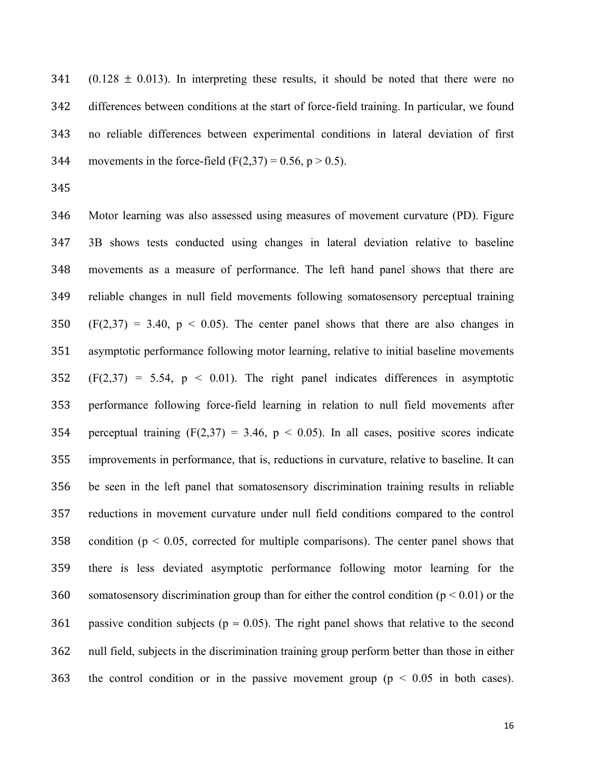341 (0.128  $\pm$  0.013). In interpreting these results, it should be noted that there were no differences between conditions at the start of force-field training. In particular, we found no reliable differences between experimental conditions in lateral deviation of first 344 movements in the force-field  $(F(2,37) = 0.56, p > 0.5)$ .

Motor learning was also assessed using measures of movement curvature (PD). Figure 3B shows tests conducted using changes in lateral deviation relative to baseline movements as a measure of performance. The left hand panel shows that there are reliable changes in null field movements following somatosensory perceptual training 350 (F(2,37) = 3.40,  $p < 0.05$ ). The center panel shows that there are also changes in asymptotic performance following motor learning, relative to initial baseline movements (F(2,37) = 5.54, p < 0.01). The right panel indicates differences in asymptotic performance following force-field learning in relation to null field movements after 354 perceptual training  $(F(2,37) = 3.46, p < 0.05)$ . In all cases, positive scores indicate improvements in performance, that is, reductions in curvature, relative to baseline. It can be seen in the left panel that somatosensory discrimination training results in reliable reductions in movement curvature under null field conditions compared to the control 358 condition ( $p < 0.05$ , corrected for multiple comparisons). The center panel shows that there is less deviated asymptotic performance following motor learning for the 360 somatosensory discrimination group than for either the control condition ( $p < 0.01$ ) or the 361 passive condition subjects ( $p \approx 0.05$ ). The right panel shows that relative to the second null field, subjects in the discrimination training group perform better than those in either 363 the control condition or in the passive movement group ( $p < 0.05$  in both cases).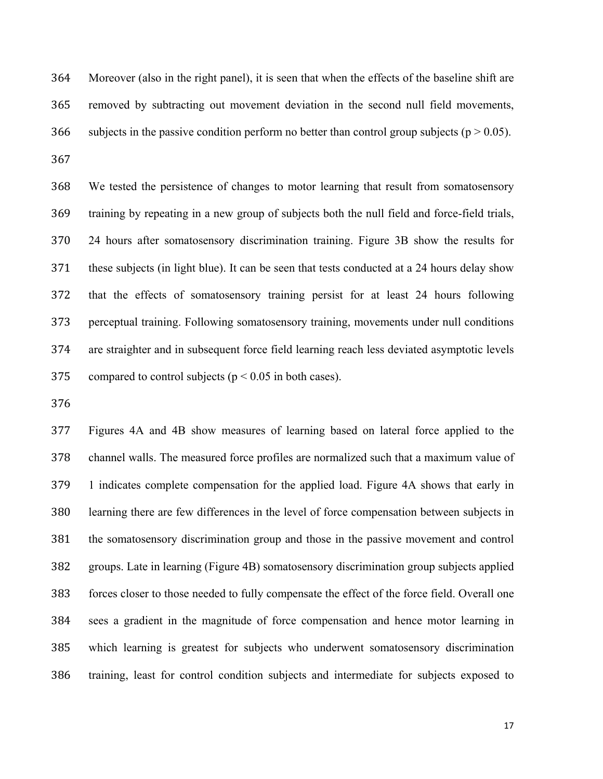Moreover (also in the right panel), it is seen that when the effects of the baseline shift are removed by subtracting out movement deviation in the second null field movements, 366 subjects in the passive condition perform no better than control group subjects ( $p > 0.05$ ). 

We tested the persistence of changes to motor learning that result from somatosensory training by repeating in a new group of subjects both the null field and force-field trials, 24 hours after somatosensory discrimination training. Figure 3B show the results for these subjects (in light blue). It can be seen that tests conducted at a 24 hours delay show that the effects of somatosensory training persist for at least 24 hours following perceptual training. Following somatosensory training, movements under null conditions are straighter and in subsequent force field learning reach less deviated asymptotic levels 375 compared to control subjects ( $p < 0.05$  in both cases).

Figures 4A and 4B show measures of learning based on lateral force applied to the channel walls. The measured force profiles are normalized such that a maximum value of 1 indicates complete compensation for the applied load. Figure 4A shows that early in learning there are few differences in the level of force compensation between subjects in the somatosensory discrimination group and those in the passive movement and control groups. Late in learning (Figure 4B) somatosensory discrimination group subjects applied forces closer to those needed to fully compensate the effect of the force field. Overall one sees a gradient in the magnitude of force compensation and hence motor learning in which learning is greatest for subjects who underwent somatosensory discrimination training, least for control condition subjects and intermediate for subjects exposed to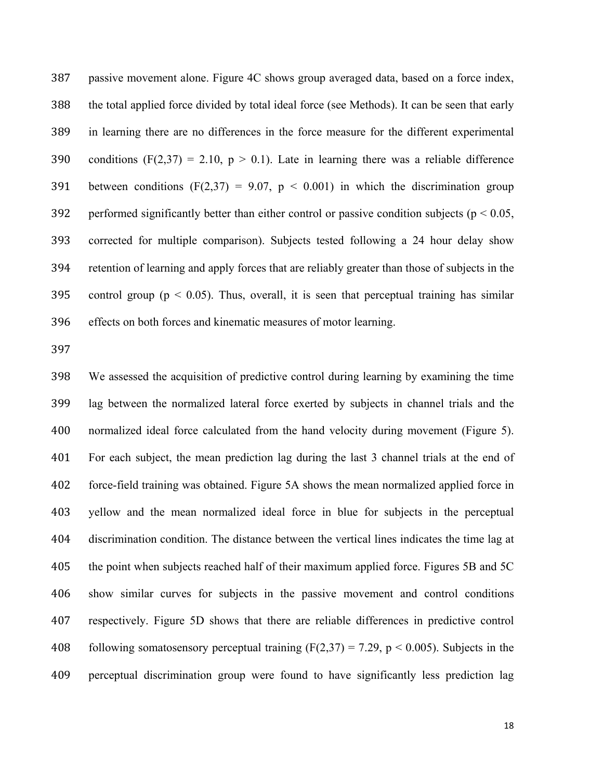passive movement alone. Figure 4C shows group averaged data, based on a force index, the total applied force divided by total ideal force (see Methods). It can be seen that early in learning there are no differences in the force measure for the different experimental 390 conditions (F(2,37) = 2.10,  $p > 0.1$ ). Late in learning there was a reliable difference 391 between conditions  $(F(2,37) = 9.07, p < 0.001)$  in which the discrimination group 392 performed significantly better than either control or passive condition subjects ( $p < 0.05$ , corrected for multiple comparison). Subjects tested following a 24 hour delay show retention of learning and apply forces that are reliably greater than those of subjects in the 395 control group ( $p < 0.05$ ). Thus, overall, it is seen that perceptual training has similar effects on both forces and kinematic measures of motor learning.

We assessed the acquisition of predictive control during learning by examining the time lag between the normalized lateral force exerted by subjects in channel trials and the normalized ideal force calculated from the hand velocity during movement (Figure 5). For each subject, the mean prediction lag during the last 3 channel trials at the end of force-field training was obtained. Figure 5A shows the mean normalized applied force in yellow and the mean normalized ideal force in blue for subjects in the perceptual discrimination condition. The distance between the vertical lines indicates the time lag at the point when subjects reached half of their maximum applied force. Figures 5B and 5C show similar curves for subjects in the passive movement and control conditions respectively. Figure 5D shows that there are reliable differences in predictive control 408 following somatosensory perceptual training  $(F(2,37) = 7.29, p < 0.005)$ . Subjects in the perceptual discrimination group were found to have significantly less prediction lag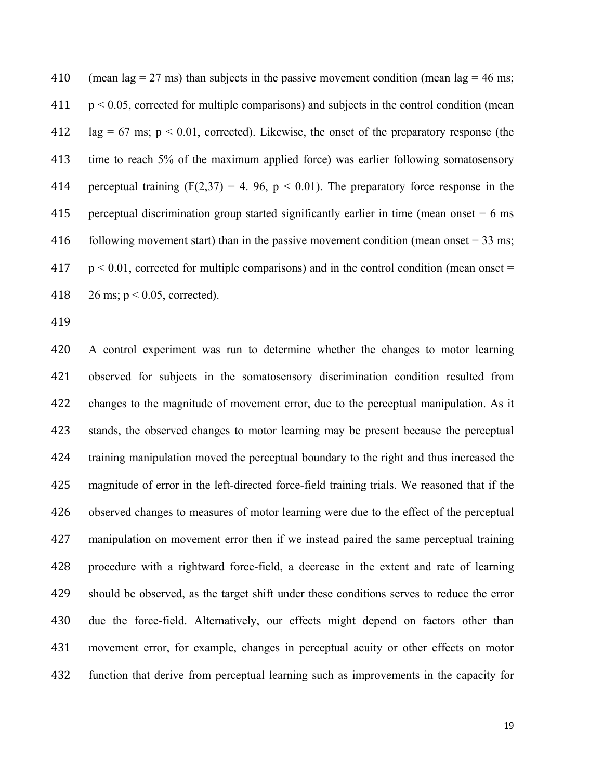410 (mean  $\log = 27$  ms) than subjects in the passive movement condition (mean  $\log = 46$  ms; 411  $p < 0.05$ , corrected for multiple comparisons) and subjects in the control condition (mean 412 lag = 67 ms;  $p \le 0.01$ , corrected). Likewise, the onset of the preparatory response (the time to reach 5% of the maximum applied force) was earlier following somatosensory 414 perceptual training  $(F(2,37) = 4, 96, p < 0.01)$ . The preparatory force response in the perceptual discrimination group started significantly earlier in time (mean onset = 6 ms 416 following movement start) than in the passive movement condition (mean onset = 33 ms; 417  $p < 0.01$ , corrected for multiple comparisons) and in the control condition (mean onset = 26 ms; p < 0.05, corrected).

A control experiment was run to determine whether the changes to motor learning observed for subjects in the somatosensory discrimination condition resulted from changes to the magnitude of movement error, due to the perceptual manipulation. As it stands, the observed changes to motor learning may be present because the perceptual training manipulation moved the perceptual boundary to the right and thus increased the magnitude of error in the left-directed force-field training trials. We reasoned that if the observed changes to measures of motor learning were due to the effect of the perceptual manipulation on movement error then if we instead paired the same perceptual training procedure with a rightward force-field, a decrease in the extent and rate of learning should be observed, as the target shift under these conditions serves to reduce the error due the force-field. Alternatively, our effects might depend on factors other than movement error, for example, changes in perceptual acuity or other effects on motor function that derive from perceptual learning such as improvements in the capacity for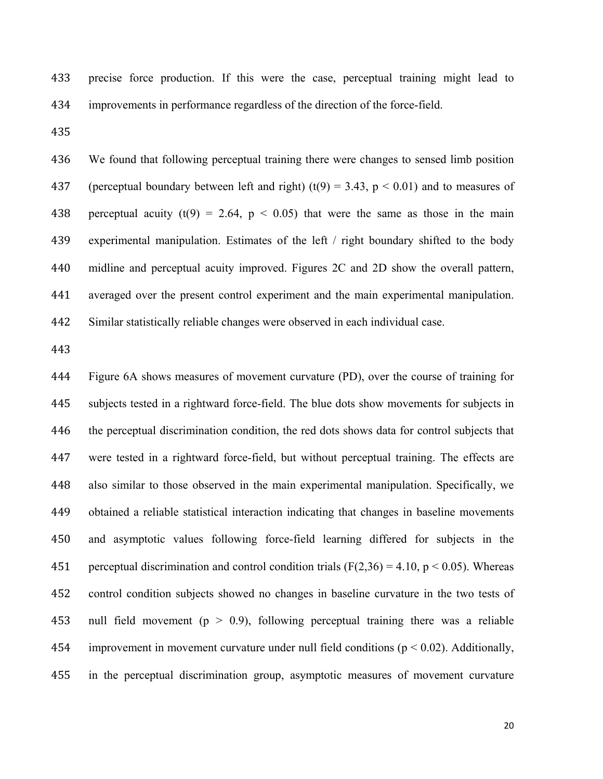precise force production. If this were the case, perceptual training might lead to improvements in performance regardless of the direction of the force-field.

We found that following perceptual training there were changes to sensed limb position 437 (perceptual boundary between left and right) (t(9) = 3.43,  $p < 0.01$ ) and to measures of 438 perceptual acuity (t(9) = 2.64,  $p < 0.05$ ) that were the same as those in the main experimental manipulation. Estimates of the left / right boundary shifted to the body midline and perceptual acuity improved. Figures 2C and 2D show the overall pattern, averaged over the present control experiment and the main experimental manipulation. Similar statistically reliable changes were observed in each individual case.

Figure 6A shows measures of movement curvature (PD), over the course of training for subjects tested in a rightward force-field. The blue dots show movements for subjects in the perceptual discrimination condition, the red dots shows data for control subjects that were tested in a rightward force-field, but without perceptual training. The effects are also similar to those observed in the main experimental manipulation. Specifically, we obtained a reliable statistical interaction indicating that changes in baseline movements and asymptotic values following force-field learning differed for subjects in the 451 perceptual discrimination and control condition trials  $(F(2,36) = 4.10, p \le 0.05)$ . Whereas control condition subjects showed no changes in baseline curvature in the two tests of null field movement (p > 0.9), following perceptual training there was a reliable 454 improvement in movement curvature under null field conditions ( $p < 0.02$ ). Additionally, in the perceptual discrimination group, asymptotic measures of movement curvature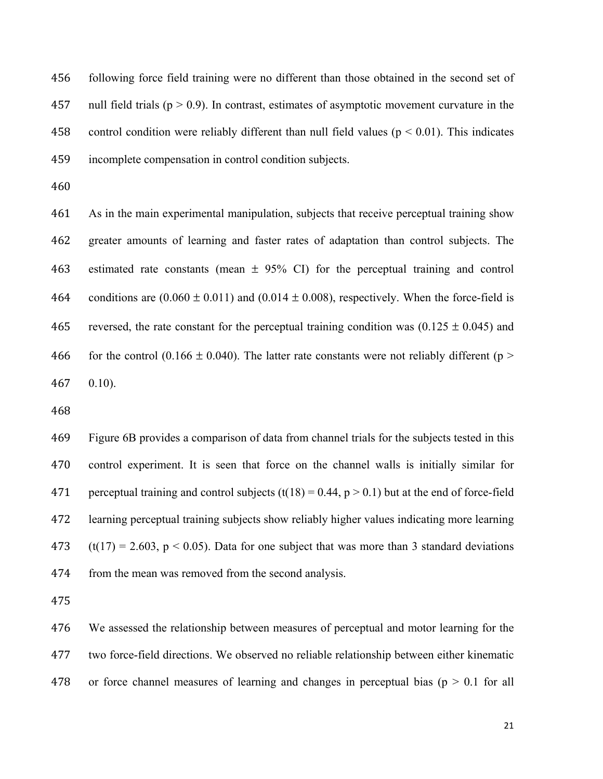following force field training were no different than those obtained in the second set of 457 null field trials ( $p > 0.9$ ). In contrast, estimates of asymptotic movement curvature in the 458 control condition were reliably different than null field values ( $p < 0.01$ ). This indicates incomplete compensation in control condition subjects.

As in the main experimental manipulation, subjects that receive perceptual training show greater amounts of learning and faster rates of adaptation than control subjects. The estimated rate constants (mean ± 95% CI) for the perceptual training and control 464 conditions are  $(0.060 \pm 0.011)$  and  $(0.014 \pm 0.008)$ , respectively. When the force-field is 465 reversed, the rate constant for the perceptual training condition was  $(0.125 \pm 0.045)$  and 466 for the control (0.166  $\pm$  0.040). The latter rate constants were not reliably different (p > 0.10).

Figure 6B provides a comparison of data from channel trials for the subjects tested in this control experiment. It is seen that force on the channel walls is initially similar for 471 perceptual training and control subjects (t(18) = 0.44,  $p > 0.1$ ) but at the end of force-field learning perceptual training subjects show reliably higher values indicating more learning 473 (t(17) = 2.603, p < 0.05). Data for one subject that was more than 3 standard deviations from the mean was removed from the second analysis.

We assessed the relationship between measures of perceptual and motor learning for the two force-field directions. We observed no reliable relationship between either kinematic 478 or force channel measures of learning and changes in perceptual bias ( $p > 0.1$  for all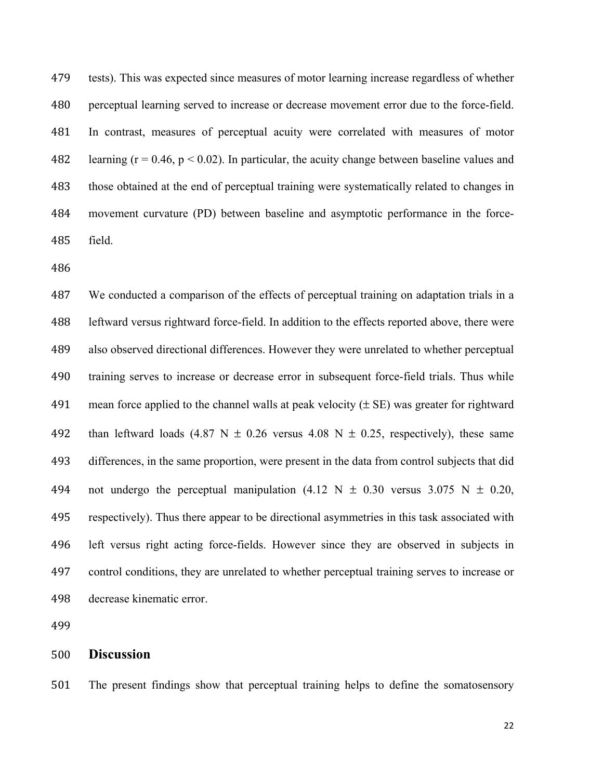tests). This was expected since measures of motor learning increase regardless of whether perceptual learning served to increase or decrease movement error due to the force-field. In contrast, measures of perceptual acuity were correlated with measures of motor 482 learning ( $r = 0.46$ ,  $p < 0.02$ ). In particular, the acuity change between baseline values and those obtained at the end of perceptual training were systematically related to changes in movement curvature (PD) between baseline and asymptotic performance in the force-field.

We conducted a comparison of the effects of perceptual training on adaptation trials in a leftward versus rightward force-field. In addition to the effects reported above, there were also observed directional differences. However they were unrelated to whether perceptual training serves to increase or decrease error in subsequent force-field trials. Thus while 491 mean force applied to the channel walls at peak velocity  $(\pm \text{ SE})$  was greater for rightward 492 than leftward loads (4.87 N  $\pm$  0.26 versus 4.08 N  $\pm$  0.25, respectively), these same differences, in the same proportion, were present in the data from control subjects that did 494 not undergo the perceptual manipulation (4.12 N  $\pm$  0.30 versus 3.075 N  $\pm$  0.20, respectively). Thus there appear to be directional asymmetries in this task associated with left versus right acting force-fields. However since they are observed in subjects in control conditions, they are unrelated to whether perceptual training serves to increase or decrease kinematic error.

#### **Discussion**

The present findings show that perceptual training helps to define the somatosensory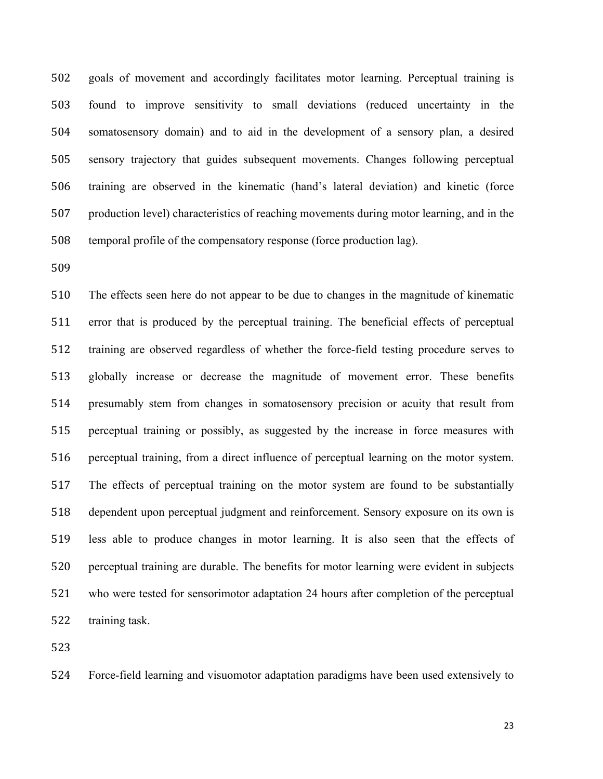goals of movement and accordingly facilitates motor learning. Perceptual training is found to improve sensitivity to small deviations (reduced uncertainty in the somatosensory domain) and to aid in the development of a sensory plan, a desired sensory trajectory that guides subsequent movements. Changes following perceptual training are observed in the kinematic (hand's lateral deviation) and kinetic (force production level) characteristics of reaching movements during motor learning, and in the temporal profile of the compensatory response (force production lag).

The effects seen here do not appear to be due to changes in the magnitude of kinematic error that is produced by the perceptual training. The beneficial effects of perceptual training are observed regardless of whether the force-field testing procedure serves to globally increase or decrease the magnitude of movement error. These benefits presumably stem from changes in somatosensory precision or acuity that result from perceptual training or possibly, as suggested by the increase in force measures with perceptual training, from a direct influence of perceptual learning on the motor system. The effects of perceptual training on the motor system are found to be substantially dependent upon perceptual judgment and reinforcement. Sensory exposure on its own is less able to produce changes in motor learning. It is also seen that the effects of perceptual training are durable. The benefits for motor learning were evident in subjects who were tested for sensorimotor adaptation 24 hours after completion of the perceptual training task.

Force-field learning and visuomotor adaptation paradigms have been used extensively to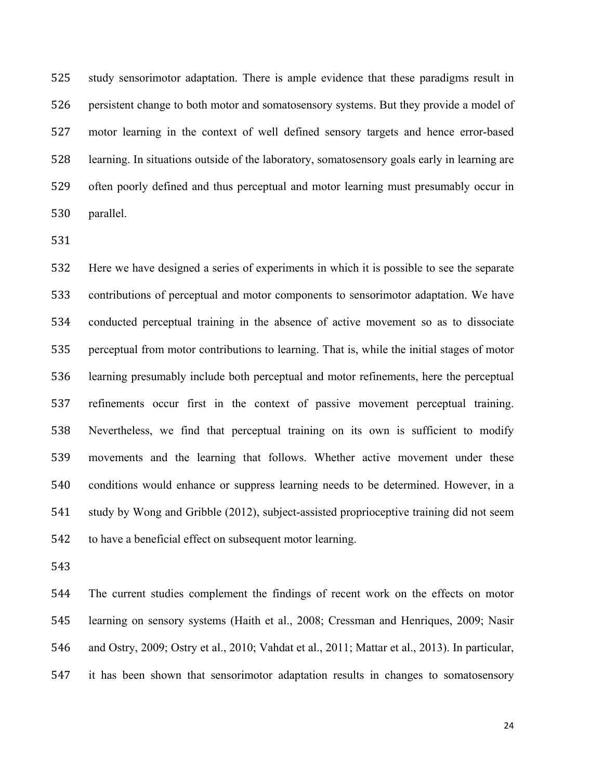study sensorimotor adaptation. There is ample evidence that these paradigms result in persistent change to both motor and somatosensory systems. But they provide a model of motor learning in the context of well defined sensory targets and hence error-based learning. In situations outside of the laboratory, somatosensory goals early in learning are often poorly defined and thus perceptual and motor learning must presumably occur in parallel.

Here we have designed a series of experiments in which it is possible to see the separate contributions of perceptual and motor components to sensorimotor adaptation. We have conducted perceptual training in the absence of active movement so as to dissociate perceptual from motor contributions to learning. That is, while the initial stages of motor learning presumably include both perceptual and motor refinements, here the perceptual refinements occur first in the context of passive movement perceptual training. Nevertheless, we find that perceptual training on its own is sufficient to modify movements and the learning that follows. Whether active movement under these conditions would enhance or suppress learning needs to be determined. However, in a study by Wong and Gribble (2012), subject-assisted proprioceptive training did not seem to have a beneficial effect on subsequent motor learning.

The current studies complement the findings of recent work on the effects on motor learning on sensory systems (Haith et al., 2008; Cressman and Henriques, 2009; Nasir and Ostry, 2009; Ostry et al., 2010; Vahdat et al., 2011; Mattar et al., 2013). In particular, it has been shown that sensorimotor adaptation results in changes to somatosensory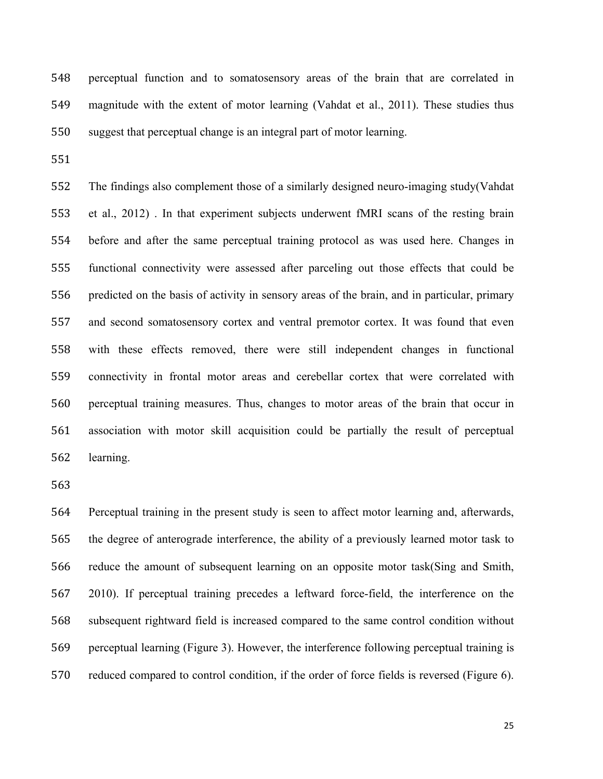perceptual function and to somatosensory areas of the brain that are correlated in magnitude with the extent of motor learning (Vahdat et al., 2011). These studies thus suggest that perceptual change is an integral part of motor learning.

The findings also complement those of a similarly designed neuro-imaging study(Vahdat et al., 2012) . In that experiment subjects underwent fMRI scans of the resting brain before and after the same perceptual training protocol as was used here. Changes in functional connectivity were assessed after parceling out those effects that could be predicted on the basis of activity in sensory areas of the brain, and in particular, primary and second somatosensory cortex and ventral premotor cortex. It was found that even with these effects removed, there were still independent changes in functional connectivity in frontal motor areas and cerebellar cortex that were correlated with perceptual training measures. Thus, changes to motor areas of the brain that occur in association with motor skill acquisition could be partially the result of perceptual learning.

Perceptual training in the present study is seen to affect motor learning and, afterwards, the degree of anterograde interference, the ability of a previously learned motor task to reduce the amount of subsequent learning on an opposite motor task(Sing and Smith, 2010). If perceptual training precedes a leftward force-field, the interference on the subsequent rightward field is increased compared to the same control condition without perceptual learning (Figure 3). However, the interference following perceptual training is reduced compared to control condition, if the order of force fields is reversed (Figure 6).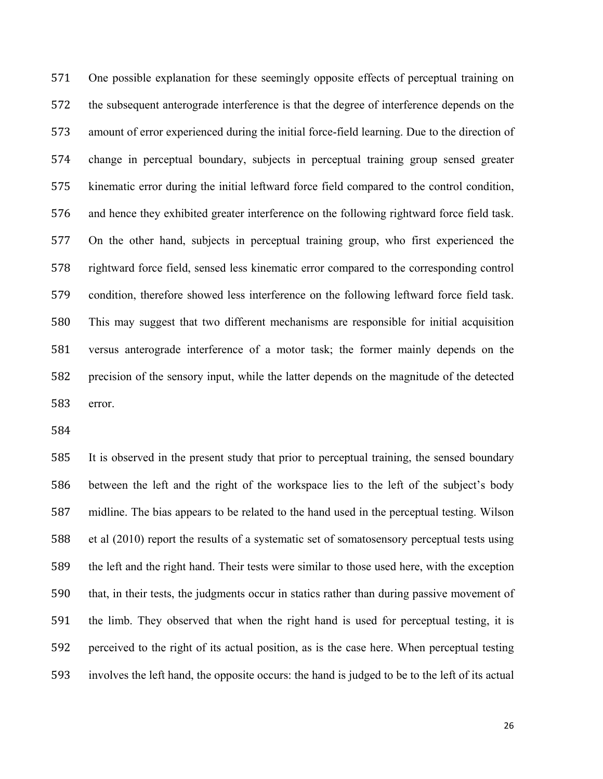One possible explanation for these seemingly opposite effects of perceptual training on the subsequent anterograde interference is that the degree of interference depends on the amount of error experienced during the initial force-field learning. Due to the direction of change in perceptual boundary, subjects in perceptual training group sensed greater kinematic error during the initial leftward force field compared to the control condition, and hence they exhibited greater interference on the following rightward force field task. On the other hand, subjects in perceptual training group, who first experienced the rightward force field, sensed less kinematic error compared to the corresponding control condition, therefore showed less interference on the following leftward force field task. This may suggest that two different mechanisms are responsible for initial acquisition versus anterograde interference of a motor task; the former mainly depends on the precision of the sensory input, while the latter depends on the magnitude of the detected error.

It is observed in the present study that prior to perceptual training, the sensed boundary between the left and the right of the workspace lies to the left of the subject's body midline. The bias appears to be related to the hand used in the perceptual testing. Wilson et al (2010) report the results of a systematic set of somatosensory perceptual tests using the left and the right hand. Their tests were similar to those used here, with the exception that, in their tests, the judgments occur in statics rather than during passive movement of the limb. They observed that when the right hand is used for perceptual testing, it is perceived to the right of its actual position, as is the case here. When perceptual testing involves the left hand, the opposite occurs: the hand is judged to be to the left of its actual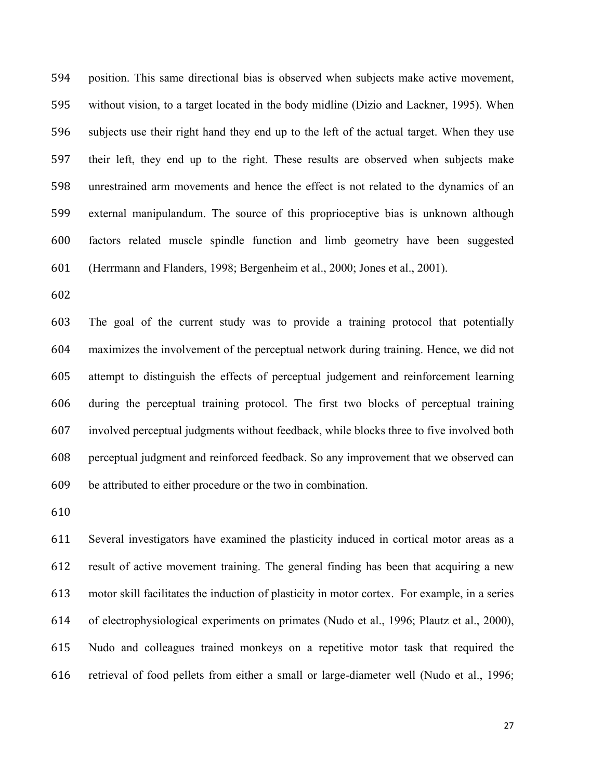position. This same directional bias is observed when subjects make active movement, without vision, to a target located in the body midline (Dizio and Lackner, 1995). When subjects use their right hand they end up to the left of the actual target. When they use their left, they end up to the right. These results are observed when subjects make unrestrained arm movements and hence the effect is not related to the dynamics of an external manipulandum. The source of this proprioceptive bias is unknown although factors related muscle spindle function and limb geometry have been suggested (Herrmann and Flanders, 1998; Bergenheim et al., 2000; Jones et al., 2001).

The goal of the current study was to provide a training protocol that potentially maximizes the involvement of the perceptual network during training. Hence, we did not attempt to distinguish the effects of perceptual judgement and reinforcement learning during the perceptual training protocol. The first two blocks of perceptual training involved perceptual judgments without feedback, while blocks three to five involved both perceptual judgment and reinforced feedback. So any improvement that we observed can be attributed to either procedure or the two in combination.

Several investigators have examined the plasticity induced in cortical motor areas as a result of active movement training. The general finding has been that acquiring a new motor skill facilitates the induction of plasticity in motor cortex. For example, in a series of electrophysiological experiments on primates (Nudo et al., 1996; Plautz et al., 2000), Nudo and colleagues trained monkeys on a repetitive motor task that required the retrieval of food pellets from either a small or large-diameter well (Nudo et al., 1996;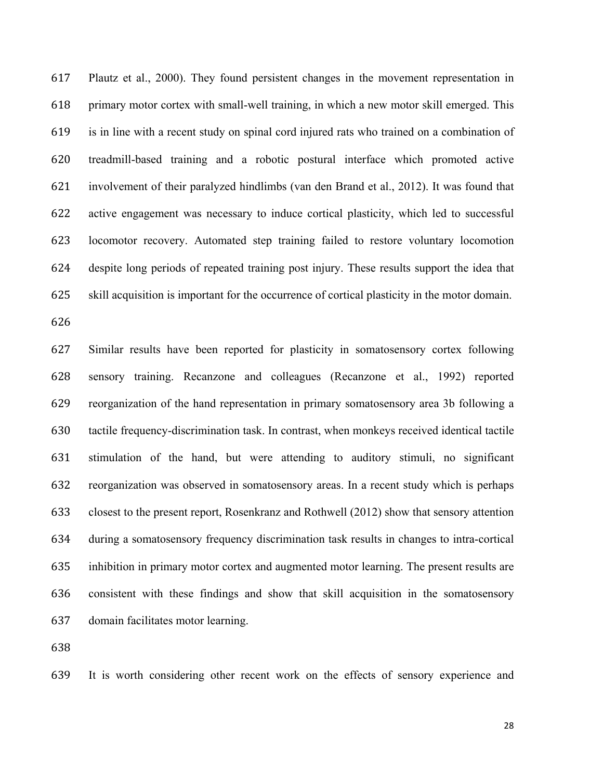Plautz et al., 2000). They found persistent changes in the movement representation in primary motor cortex with small-well training, in which a new motor skill emerged. This is in line with a recent study on spinal cord injured rats who trained on a combination of treadmill-based training and a robotic postural interface which promoted active involvement of their paralyzed hindlimbs (van den Brand et al., 2012). It was found that active engagement was necessary to induce cortical plasticity, which led to successful locomotor recovery. Automated step training failed to restore voluntary locomotion despite long periods of repeated training post injury. These results support the idea that skill acquisition is important for the occurrence of cortical plasticity in the motor domain.

Similar results have been reported for plasticity in somatosensory cortex following sensory training. Recanzone and colleagues (Recanzone et al., 1992) reported reorganization of the hand representation in primary somatosensory area 3b following a tactile frequency-discrimination task. In contrast, when monkeys received identical tactile stimulation of the hand, but were attending to auditory stimuli, no significant reorganization was observed in somatosensory areas. In a recent study which is perhaps closest to the present report, Rosenkranz and Rothwell (2012) show that sensory attention during a somatosensory frequency discrimination task results in changes to intra-cortical inhibition in primary motor cortex and augmented motor learning. The present results are consistent with these findings and show that skill acquisition in the somatosensory domain facilitates motor learning.

It is worth considering other recent work on the effects of sensory experience and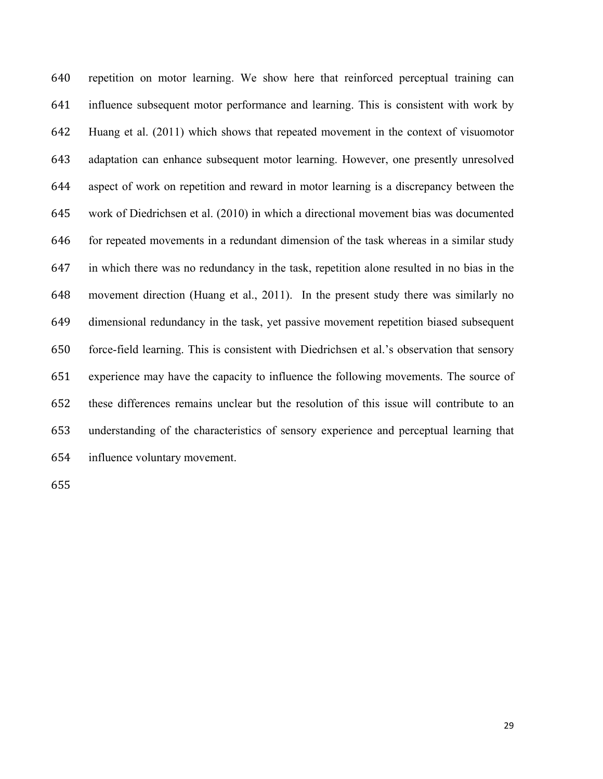repetition on motor learning. We show here that reinforced perceptual training can influence subsequent motor performance and learning. This is consistent with work by Huang et al. (2011) which shows that repeated movement in the context of visuomotor adaptation can enhance subsequent motor learning. However, one presently unresolved aspect of work on repetition and reward in motor learning is a discrepancy between the work of Diedrichsen et al. (2010) in which a directional movement bias was documented for repeated movements in a redundant dimension of the task whereas in a similar study in which there was no redundancy in the task, repetition alone resulted in no bias in the movement direction (Huang et al., 2011). In the present study there was similarly no dimensional redundancy in the task, yet passive movement repetition biased subsequent force-field learning. This is consistent with Diedrichsen et al.'s observation that sensory experience may have the capacity to influence the following movements. The source of these differences remains unclear but the resolution of this issue will contribute to an understanding of the characteristics of sensory experience and perceptual learning that influence voluntary movement.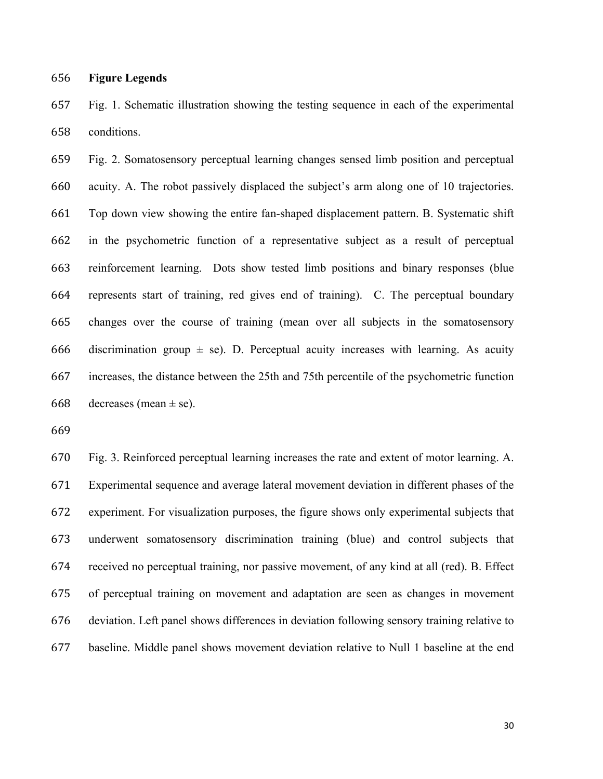### **Figure Legends**

Fig. 1. Schematic illustration showing the testing sequence in each of the experimental conditions.

Fig. 2. Somatosensory perceptual learning changes sensed limb position and perceptual acuity. A. The robot passively displaced the subject's arm along one of 10 trajectories. Top down view showing the entire fan-shaped displacement pattern. B. Systematic shift in the psychometric function of a representative subject as a result of perceptual reinforcement learning. Dots show tested limb positions and binary responses (blue represents start of training, red gives end of training). C. The perceptual boundary changes over the course of training (mean over all subjects in the somatosensory 666 discrimination group  $\pm$  se). D. Perceptual acuity increases with learning. As acuity increases, the distance between the 25th and 75th percentile of the psychometric function 668 decreases (mean  $\pm$  se).

Fig. 3. Reinforced perceptual learning increases the rate and extent of motor learning. A. Experimental sequence and average lateral movement deviation in different phases of the experiment. For visualization purposes, the figure shows only experimental subjects that underwent somatosensory discrimination training (blue) and control subjects that received no perceptual training, nor passive movement, of any kind at all (red). B. Effect of perceptual training on movement and adaptation are seen as changes in movement deviation. Left panel shows differences in deviation following sensory training relative to baseline. Middle panel shows movement deviation relative to Null 1 baseline at the end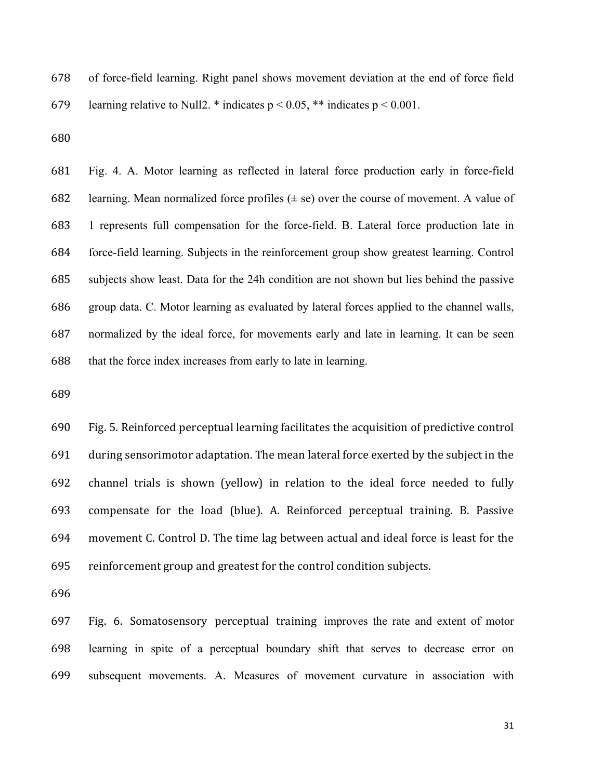of force-field learning. Right panel shows movement deviation at the end of force field 679 learning relative to Null2.  $*$  indicates p < 0.05,  $**$  indicates p < 0.001.

Fig. 4. A. Motor learning as reflected in lateral force production early in force-field 682 learning. Mean normalized force profiles  $(\pm s$ e) over the course of movement. A value of 1 represents full compensation for the force-field. B. Lateral force production late in force-field learning. Subjects in the reinforcement group show greatest learning. Control subjects show least. Data for the 24h condition are not shown but lies behind the passive group data. C. Motor learning as evaluated by lateral forces applied to the channel walls, normalized by the ideal force, for movements early and late in learning. It can be seen that the force index increases from early to late in learning.

690 Fig. 5. Reinforced perceptual learning facilitates the acquisition of predictive control 691 during sensorimotor adaptation. The mean lateral force exerted by the subject in the 692 channel trials is shown (yellow) in relation to the ideal force needed to fully 693 compensate for the load (blue). A. Reinforced perceptual training. B. Passive 694 movement C. Control D. The time lag between actual and ideal force is least for the 695 reinforcement group and greatest for the control condition subjects.

697 Fig. 6. Somatosensory perceptual training improves the rate and extent of motor learning in spite of a perceptual boundary shift that serves to decrease error on subsequent movements. A. Measures of movement curvature in association with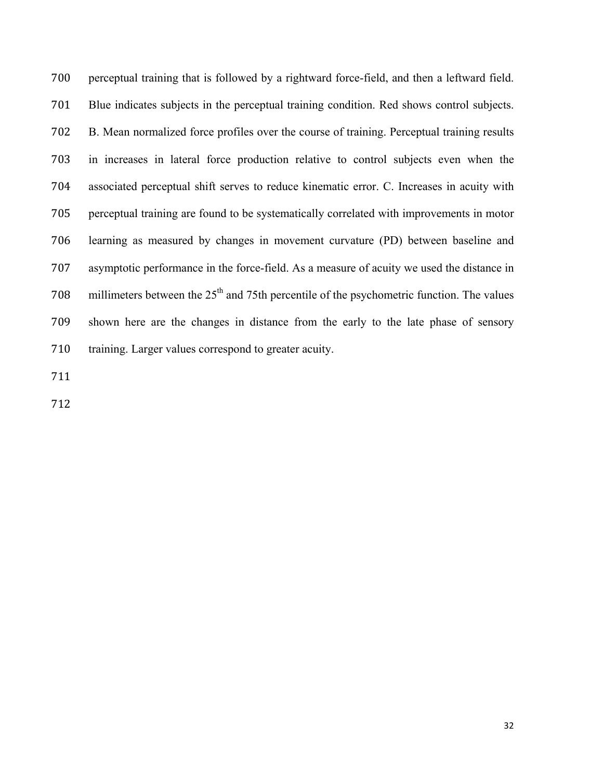perceptual training that is followed by a rightward force-field, and then a leftward field. Blue indicates subjects in the perceptual training condition. Red shows control subjects. B. Mean normalized force profiles over the course of training. Perceptual training results in increases in lateral force production relative to control subjects even when the associated perceptual shift serves to reduce kinematic error. C. Increases in acuity with perceptual training are found to be systematically correlated with improvements in motor learning as measured by changes in movement curvature (PD) between baseline and asymptotic performance in the force-field. As a measure of acuity we used the distance in 708 millimeters between the  $25<sup>th</sup>$  and 75th percentile of the psychometric function. The values shown here are the changes in distance from the early to the late phase of sensory training. Larger values correspond to greater acuity.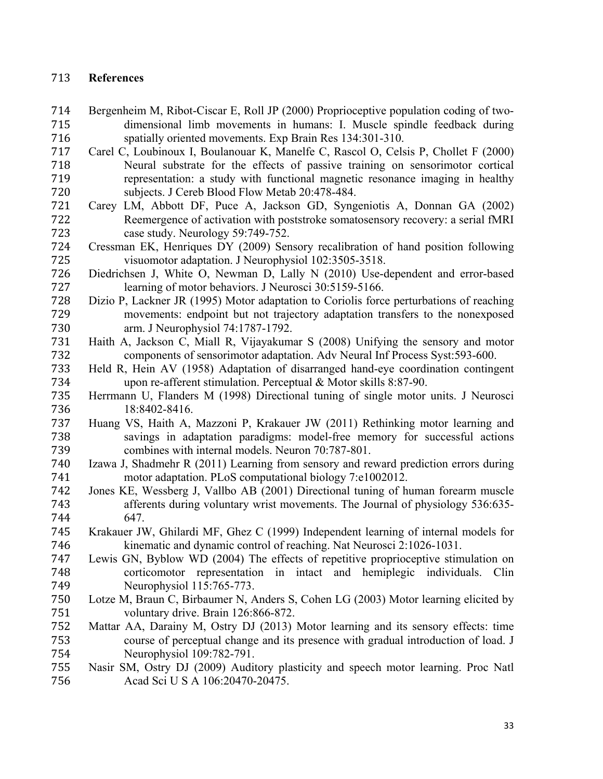## **References**

- Bergenheim M, Ribot-Ciscar E, Roll JP (2000) Proprioceptive population coding of two-dimensional limb movements in humans: I. Muscle spindle feedback during spatially oriented movements. Exp Brain Res 134:301-310.
- Carel C, Loubinoux I, Boulanouar K, Manelfe C, Rascol O, Celsis P, Chollet F (2000) Neural substrate for the effects of passive training on sensorimotor cortical representation: a study with functional magnetic resonance imaging in healthy subjects. J Cereb Blood Flow Metab 20:478-484.
- Carey LM, Abbott DF, Puce A, Jackson GD, Syngeniotis A, Donnan GA (2002) Reemergence of activation with poststroke somatosensory recovery: a serial fMRI case study. Neurology 59:749-752.
- Cressman EK, Henriques DY (2009) Sensory recalibration of hand position following visuomotor adaptation. J Neurophysiol 102:3505-3518.
- Diedrichsen J, White O, Newman D, Lally N (2010) Use-dependent and error-based learning of motor behaviors. J Neurosci 30:5159-5166.
- Dizio P, Lackner JR (1995) Motor adaptation to Coriolis force perturbations of reaching movements: endpoint but not trajectory adaptation transfers to the nonexposed arm. J Neurophysiol 74:1787-1792.
- Haith A, Jackson C, Miall R, Vijayakumar S (2008) Unifying the sensory and motor components of sensorimotor adaptation. Adv Neural Inf Process Syst:593-600.
- Held R, Hein AV (1958) Adaptation of disarranged hand-eye coordination contingent upon re-afferent stimulation. Perceptual & Motor skills 8:87-90.
- Herrmann U, Flanders M (1998) Directional tuning of single motor units. J Neurosci 18:8402-8416.
- Huang VS, Haith A, Mazzoni P, Krakauer JW (2011) Rethinking motor learning and savings in adaptation paradigms: model-free memory for successful actions combines with internal models. Neuron 70:787-801.
- Izawa J, Shadmehr R (2011) Learning from sensory and reward prediction errors during motor adaptation. PLoS computational biology 7:e1002012.
- Jones KE, Wessberg J, Vallbo AB (2001) Directional tuning of human forearm muscle afferents during voluntary wrist movements. The Journal of physiology 536:635- 647.
- Krakauer JW, Ghilardi MF, Ghez C (1999) Independent learning of internal models for kinematic and dynamic control of reaching. Nat Neurosci 2:1026-1031.
- Lewis GN, Byblow WD (2004) The effects of repetitive proprioceptive stimulation on corticomotor representation in intact and hemiplegic individuals. Clin Neurophysiol 115:765-773.
- Lotze M, Braun C, Birbaumer N, Anders S, Cohen LG (2003) Motor learning elicited by voluntary drive. Brain 126:866-872.
- Mattar AA, Darainy M, Ostry DJ (2013) Motor learning and its sensory effects: time course of perceptual change and its presence with gradual introduction of load. J Neurophysiol 109:782-791.
- Nasir SM, Ostry DJ (2009) Auditory plasticity and speech motor learning. Proc Natl Acad Sci U S A 106:20470-20475.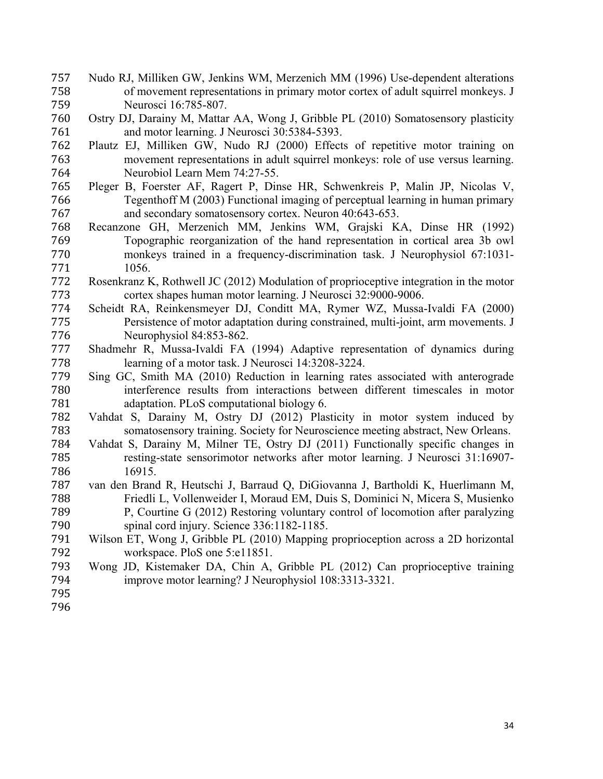- Nudo RJ, Milliken GW, Jenkins WM, Merzenich MM (1996) Use-dependent alterations of movement representations in primary motor cortex of adult squirrel monkeys. J Neurosci 16:785-807.
- Ostry DJ, Darainy M, Mattar AA, Wong J, Gribble PL (2010) Somatosensory plasticity and motor learning. J Neurosci 30:5384-5393.
- Plautz EJ, Milliken GW, Nudo RJ (2000) Effects of repetitive motor training on movement representations in adult squirrel monkeys: role of use versus learning. Neurobiol Learn Mem 74:27-55.
- Pleger B, Foerster AF, Ragert P, Dinse HR, Schwenkreis P, Malin JP, Nicolas V, Tegenthoff M (2003) Functional imaging of perceptual learning in human primary and secondary somatosensory cortex. Neuron 40:643-653.
- Recanzone GH, Merzenich MM, Jenkins WM, Grajski KA, Dinse HR (1992) Topographic reorganization of the hand representation in cortical area 3b owl monkeys trained in a frequency-discrimination task. J Neurophysiol 67:1031- 1056.
- Rosenkranz K, Rothwell JC (2012) Modulation of proprioceptive integration in the motor cortex shapes human motor learning. J Neurosci 32:9000-9006.
- Scheidt RA, Reinkensmeyer DJ, Conditt MA, Rymer WZ, Mussa-Ivaldi FA (2000) Persistence of motor adaptation during constrained, multi-joint, arm movements. J Neurophysiol 84:853-862.
- Shadmehr R, Mussa-Ivaldi FA (1994) Adaptive representation of dynamics during learning of a motor task. J Neurosci 14:3208-3224.
- Sing GC, Smith MA (2010) Reduction in learning rates associated with anterograde interference results from interactions between different timescales in motor adaptation. PLoS computational biology 6.
- Vahdat S, Darainy M, Ostry DJ (2012) Plasticity in motor system induced by somatosensory training. Society for Neuroscience meeting abstract, New Orleans.
- Vahdat S, Darainy M, Milner TE, Ostry DJ (2011) Functionally specific changes in resting-state sensorimotor networks after motor learning. J Neurosci 31:16907- 16915.
- van den Brand R, Heutschi J, Barraud Q, DiGiovanna J, Bartholdi K, Huerlimann M, Friedli L, Vollenweider I, Moraud EM, Duis S, Dominici N, Micera S, Musienko P, Courtine G (2012) Restoring voluntary control of locomotion after paralyzing spinal cord injury. Science 336:1182-1185.
- Wilson ET, Wong J, Gribble PL (2010) Mapping proprioception across a 2D horizontal workspace. PloS one 5:e11851.
- Wong JD, Kistemaker DA, Chin A, Gribble PL (2012) Can proprioceptive training improve motor learning? J Neurophysiol 108:3313-3321.
-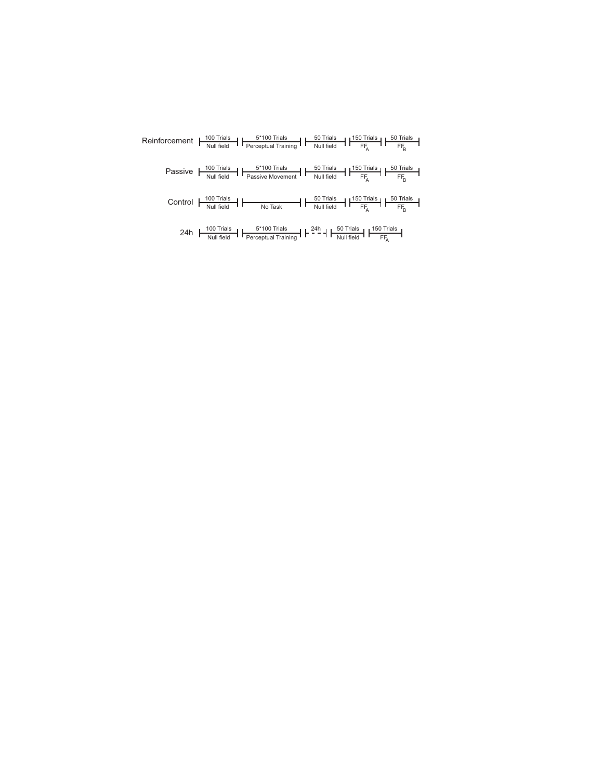|  |  | $\textsf{Reinforcement} \hspace{0.1cm} \mid \hspace{0.1cm} \frac{100 \text{ Trials}}{\textsf{Null field}} \hspace{0.1cm} \mid \hspace{0.1cm} \frac{5^{*}100 \text{ Trials}}{\textsf{Perceptual Training}} \hspace{0.1cm} \mid \hspace{0.1cm} \frac{50 \text{ Trials}}{\textsf{Null field}} \hspace{0.1cm} \mid \hspace{0.1cm} \frac{150 \text{ Trials}}{\textsf{Ff}_n} \hspace{0.1cm} \mid \hspace{0.1cm} \frac{50 \text{ Trials}}{\textsf{FF}_n} \hspace{0$ |  |  |  |  |
|--|--|--------------------------------------------------------------------------------------------------------------------------------------------------------------------------------------------------------------------------------------------------------------------------------------------------------------------------------------------------------------------------------------------------------------------------------------------------------------|--|--|--|--|
|  |  | Passive $\frac{100 \text{ Trials}}{\text{Null field}} + \frac{5*100 \text{ Trials}}{\text{Passive Movement}} + \frac{50 \text{ Trials}}{\text{Null field}} + \frac{150 \text{ Trials}}{\text{FF}_b} + \frac{50 \text{ Trials}}{\text{FF}_b}$                                                                                                                                                                                                                 |  |  |  |  |
|  |  | Control $\frac{100 \text{ Trials}}{\text{Null field}}$ $\left  \frac{100 \text{ Trials}}{\text{Not task}} \right $ $\left  \frac{50 \text{ Trials}}{\text{Null field}} \right $ $\left  \frac{50 \text{ Trials}}{\text{FF}} \right $                                                                                                                                                                                                                         |  |  |  |  |
|  |  | 24h $\frac{100 \text{ Trials}}{\text{Null field}}$ $\frac{5*100 \text{ Trials}}{\text{Perceptual Training}}$ $\frac{24h}{\text{Perceptual Training}}$ $\frac{1}{24}$ $\frac{50 \text{ Trials}}{\text{Null field}}$ $\frac{150 \text{ Trials}}{\text{FF}}$                                                                                                                                                                                                    |  |  |  |  |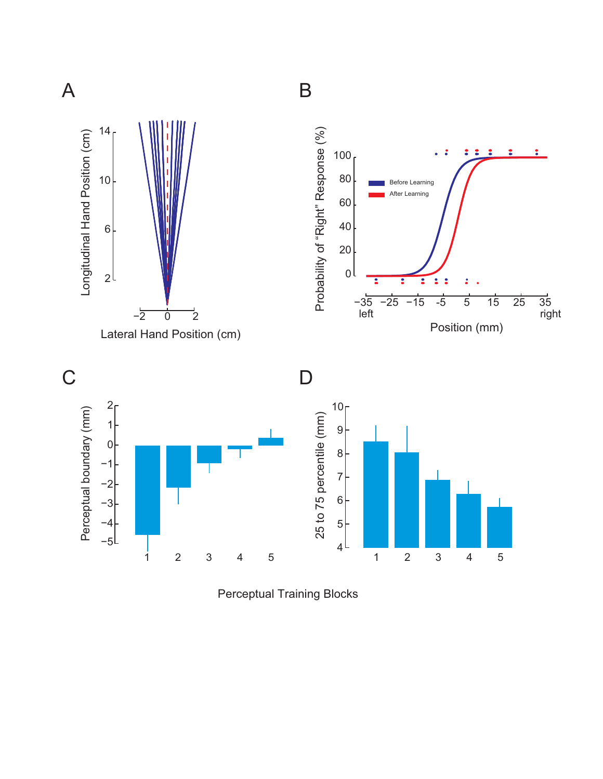

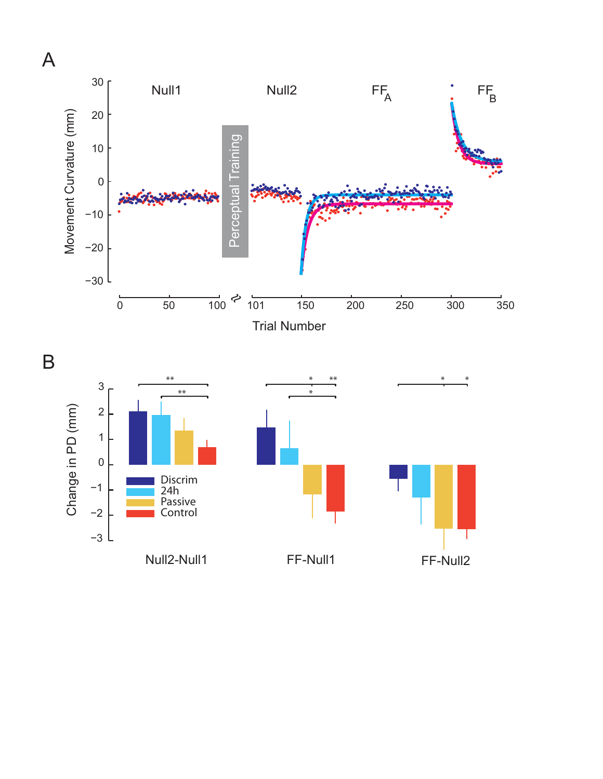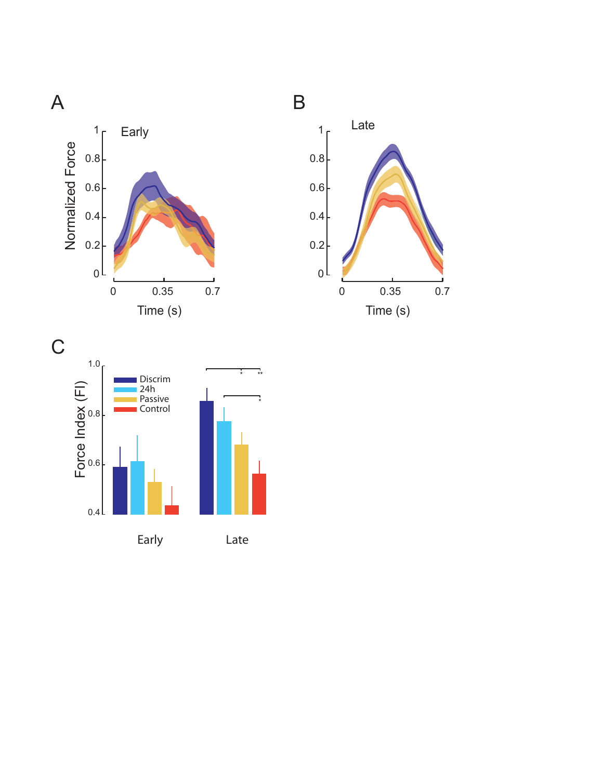

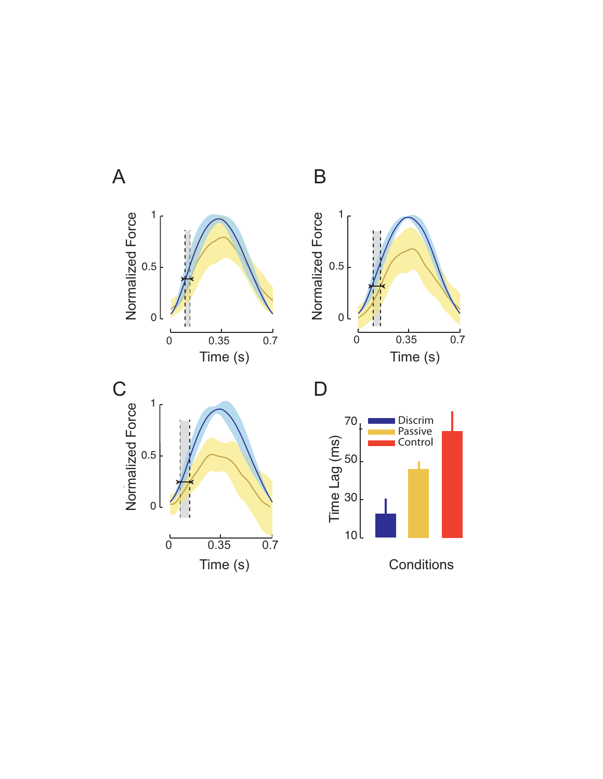